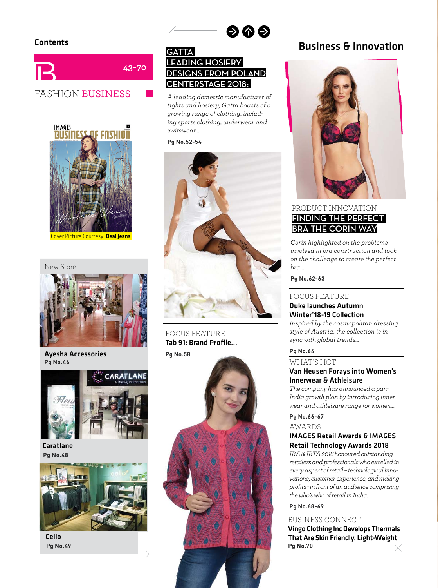



Cover Picture Courtesy: Deal Jeans



Ayesha Accessories **Pg No.46**



Caratlane **Pa No.48 Pg No.48**



Celio **Pa No.49 Pg No.49**

# **GATTA LEADING HOSIERY DESIGNS FROM POLAND CENTERSTAGE 2018:**

 $\bullet$ 

*A leading domestic manufacturer of tights and hosiery, Gatta boasts of a growing range of clothing, including sports clothing, underwear and swimwear…*



FOCUS FEATURE Tab 91: Brand Profile...



# Contents **Contents Contents Business & Innovation**



## PRODUCT INNOVATION **FINDING THE PERFECT BRA THE CORIN WAY**

*Corin highlighted on the problems involved in bra construction and took on the challenge to create the perfect bra…*

Pa No.62-63 **Pg No.62-63**

### FOCUS FEATURE Duke launches Autumn Winter'18-19 Collection

*Inspired by the cosmopolitan dressing style of Austria, the collection is in sync with global trends…*

**Pg No.64** WHAT'S HOT

### Van Heusen Forays into Women's Innerwear & Athleisure

*The company has announced a pan-India growth plan by introducing innerwear and athleisure range for women…*

# **Pg No.66-67** AWARDS

### IMAGES Retail Awards & IMAGES Retail Technology Awards 2018

*IRA & IRTA 2018 honoured outstanding retailers and professionals who excelled in every aspect of retail – technological innovations, customer experience, and making profi ts - in front of an audience comprising the who's who of retail in India…*

**Pg No.68-69**

### BUSINESS CONNECT

Vingo Clothing Inc Develops Thermals That Are Skin Friendly, Light-Weight **Pg No.70**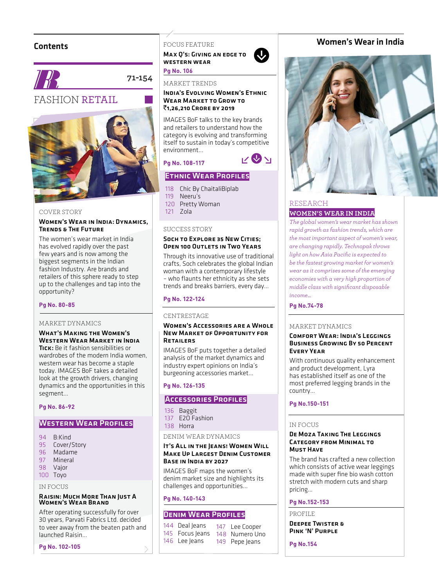### **Contents**



**71-154**

# FASHION RETAIL



#### COVER STORY

#### Women's Wear in India: Dynamics, Trends & The Future

The women's wear market in India has evolved rapidly over the past few years and is now among the biggest segments in the Indian fashion Industry. Are brands and retailers of this sphere ready to step up to the challenges and tap into the opportunity?

# **Pg No. 80-85**

#### MARKET DYNAMICS

What's Making the Women's Western Wear Market in India Tick: Be it fashion sensibilities or wardrobes of the modern India women. western wear has become a staple today. IMAGES BoF takes a detailed look at the growth drivers, changing dynamics and the opportunities in this

#### Pa No. 86-92 **Pg No. 86-92**

segment…

### WESTERN WEAR PROFILES

- 94 B:Kind
- 95 Cover/Story
- 96 Madame
- 97 Mineral
- 98 Vajor 100 Toyo

### IN FOCUS

# Raisin: Much More Than Just A Women's Wear Brand

After operating successfully for over 30 years, Parvati Fabrics Ltd. decided to veer away from the beaten path and launched Raisin…

**Pg No. 102-105**

### FOCUS FEATURE

Max Q's: Giving an edge to western wear

#### **Pg** No. 106<sup>6</sup> MARKET TRENDS

#### India's Evolving Women's Ethnic Wear Market to Grow to ₹1,26,210 CRORE BY 2019

 $\ddot{\textbf{Q}}$ 

 $v\otimes v_1$ 

IMAGES BoF talks to the key brands and retailers to understand how the category is evolving and transforming itself to sustain in today's competitive environment...

#### Pa No. 108-117 **Pg No. 108-117**

### **ETHNIC WEAR PROFILES**

- 118 Chic By ChaitaliBiplab
- 119 Neeru's
- 120 Pretty Woman
- 121 Zola

### SUCCESS STORY

### SOCH TO EXPLORE 35 NEW CITIES: Open 100 Outlets in Two Years

Through its innovative use of traditional crafts, Soch celebrates the global Indian woman with a contemporary lifestyle - who flaunts her ethnicity as she sets trends and breaks barriers, every day…

# **Pg No. 122-124**

#### **CENTRESTAGE**

#### Women's Accessories are a Whole New Market of Opportunity for Retailers

IMAGES BoF puts together a detailed analysis of the market dynamics and industry expert opinions on India's burgeoning accessories market…

# **Pg No. 126-135**

### **Accessories Profiles**

136 Baggit 137 E2O Fashion 138 Horra

#### DENIM WEAR DYNAMICS

#### IT'S ALL IN THE IEANS! WOMEN WILL Make Up Largest Denim Customer Base in India by 2027

IMAGES BoF maps the women's denim market size and highlights its challenges and opportunities...

# **Pg No. 140-143**

### DENIM WEAR PROFILES

| 144 Deal Jeans  | 147 Lee Cooper |
|-----------------|----------------|
| 145 Focus Jeans | 148 Numero Uno |
| 146 Lee Jeans   | 149 Pepe Jeans |

### Women's Wear in India



### RESEARCH **WOMEN'S WEAR IN INDIA**

*The global women's wear market has shown rapid growth as fashion trends, which are the most important aspect of women's wear, are changing rapidly. Technopak throws light on how Asia Pacifi c is expected to be the fastest growing market for women's wear as it comprises some of the emerging economies with a very high proportion of middle class with signifi cant disposable income...*

**Pg No.74-78**

#### MARKET DYNAMICS

#### Comfort Wear: India's Leggings Business Growing By 50 Percent Every Year

With continuous quality enhancement and product development, Lyra has established itself as one of the most preferred legging brands in the country…

# **Pg No.150-151**

### IN FOCUS

#### De Moza Taking The Leggings Category from Minimal to Must Have

The brand has crafted a new collection which consists of active wear leggings made with super fine bio wash cotton stretch with modern cuts and sharp pricing…

## **Pg No.152-153**

PROFILE

Deepee Twister & Pink 'N' Purple

**Pg No.154**